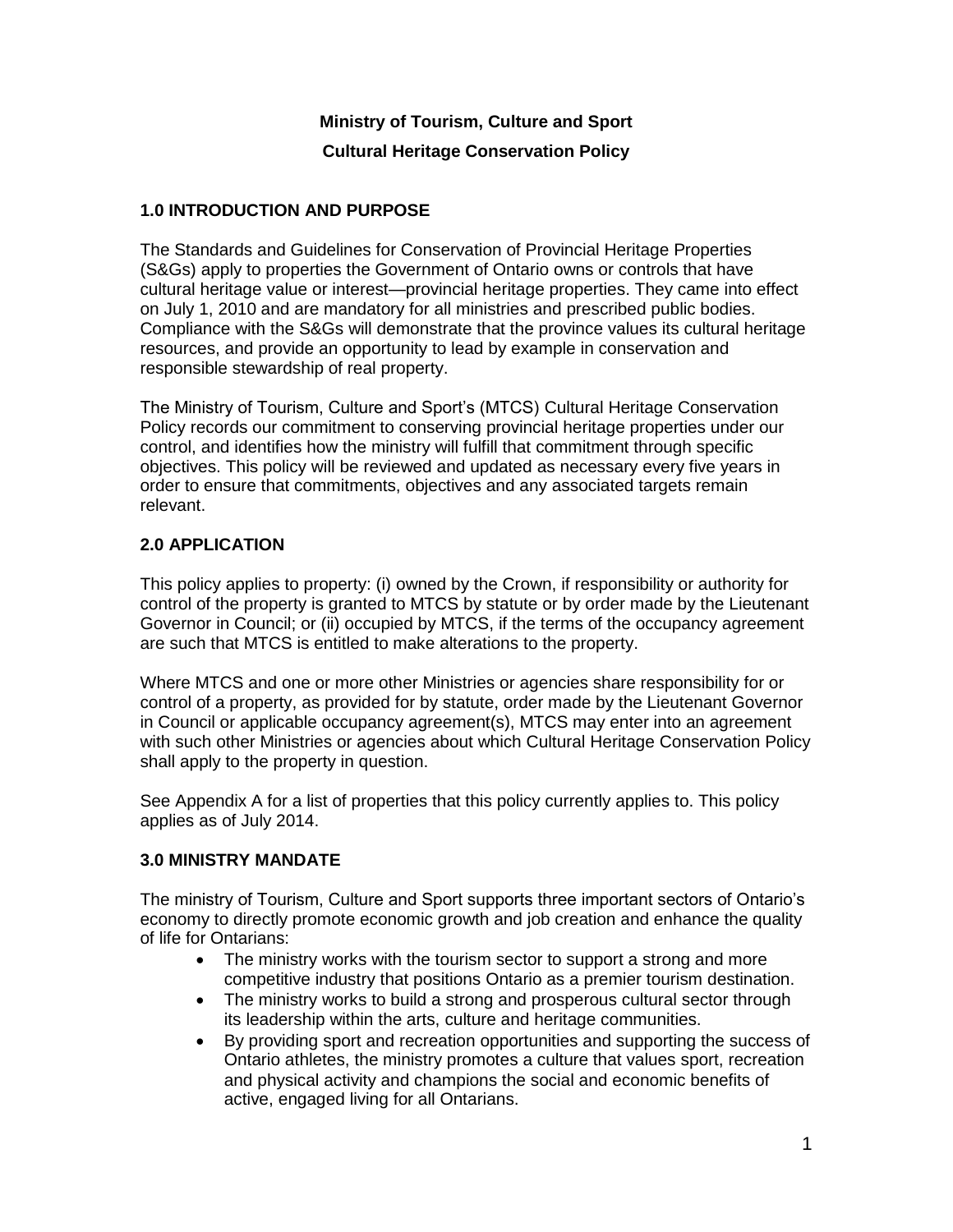### **Ministry of Tourism, Culture and Sport**

#### **Cultural Heritage Conservation Policy**

#### **1.0 INTRODUCTION AND PURPOSE**

The Standards and Guidelines for Conservation of Provincial Heritage Properties (S&Gs) apply to properties the Government of Ontario owns or controls that have cultural heritage value or interest—provincial heritage properties. They came into effect on July 1, 2010 and are mandatory for all ministries and prescribed public bodies. Compliance with the S&Gs will demonstrate that the province values its cultural heritage resources, and provide an opportunity to lead by example in conservation and responsible stewardship of real property.

The Ministry of Tourism, Culture and Sport's (MTCS) Cultural Heritage Conservation Policy records our commitment to conserving provincial heritage properties under our control, and identifies how the ministry will fulfill that commitment through specific objectives. This policy will be reviewed and updated as necessary every five years in order to ensure that commitments, objectives and any associated targets remain relevant.

### **2.0 APPLICATION**

This policy applies to property: (i) owned by the Crown, if responsibility or authority for control of the property is granted to MTCS by statute or by order made by the Lieutenant Governor in Council; or (ii) occupied by MTCS, if the terms of the occupancy agreement are such that MTCS is entitled to make alterations to the property.

Where MTCS and one or more other Ministries or agencies share responsibility for or control of a property, as provided for by statute, order made by the Lieutenant Governor in Council or applicable occupancy agreement(s), MTCS may enter into an agreement with such other Ministries or agencies about which Cultural Heritage Conservation Policy shall apply to the property in question.

See Appendix A for a list of properties that this policy currently applies to. This policy applies as of July 2014.

#### **3.0 MINISTRY MANDATE**

The ministry of Tourism, Culture and Sport supports three important sectors of Ontario's economy to directly promote economic growth and job creation and enhance the quality of life for Ontarians:

- The ministry works with the tourism sector to support a strong and more competitive industry that positions Ontario as a premier tourism destination.
- The ministry works to build a strong and prosperous cultural sector through its leadership within the arts, culture and heritage communities.
- By providing sport and recreation opportunities and supporting the success of Ontario athletes, the ministry promotes a culture that values sport, recreation and physical activity and champions the social and economic benefits of active, engaged living for all Ontarians.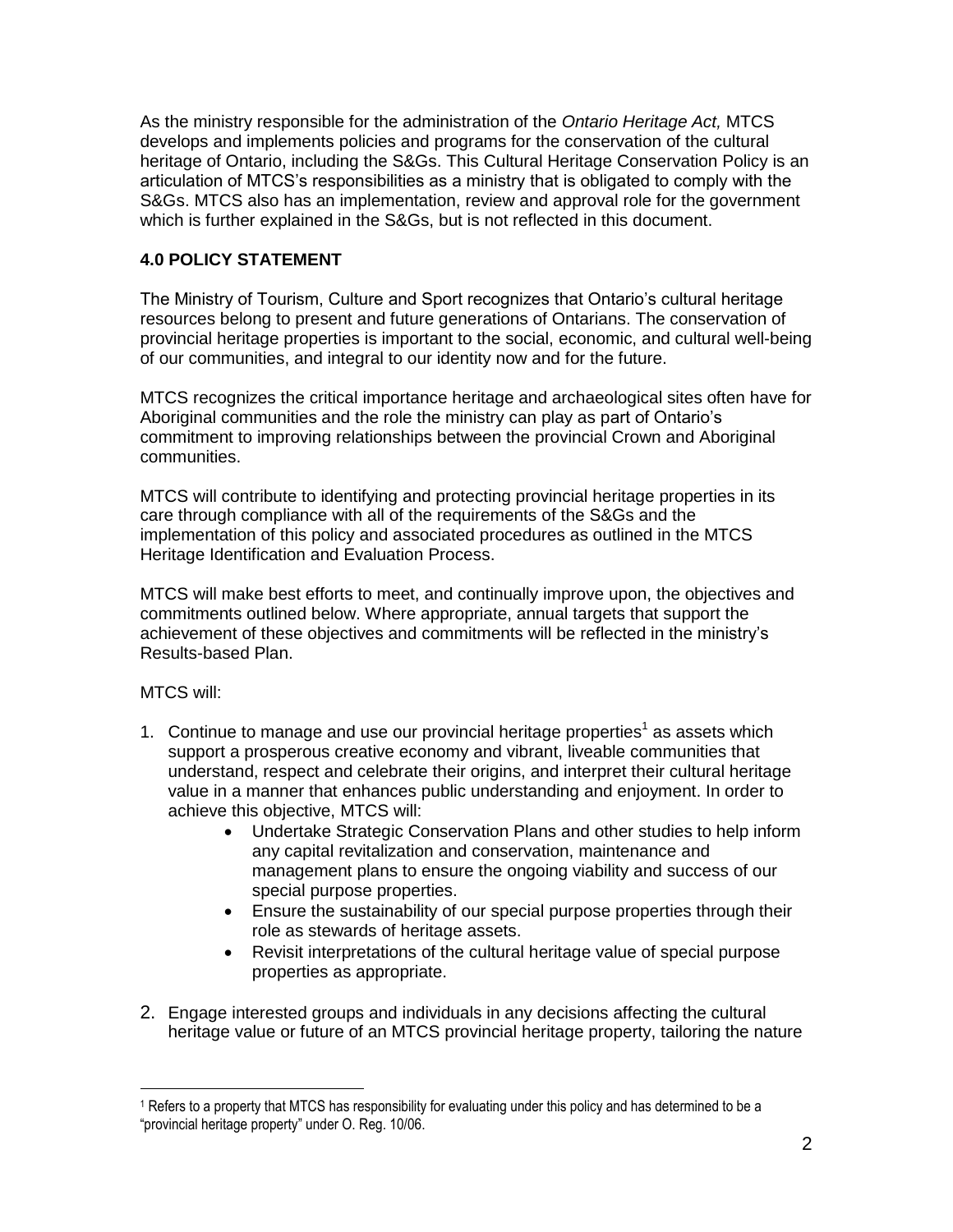As the ministry responsible for the administration of the *Ontario Heritage Act,* MTCS develops and implements policies and programs for the conservation of the cultural heritage of Ontario, including the S&Gs. This Cultural Heritage Conservation Policy is an articulation of MTCS's responsibilities as a ministry that is obligated to comply with the S&Gs. MTCS also has an implementation, review and approval role for the government which is further explained in the S&Gs, but is not reflected in this document.

# **4.0 POLICY STATEMENT**

The Ministry of Tourism, Culture and Sport recognizes that Ontario's cultural heritage resources belong to present and future generations of Ontarians. The conservation of provincial heritage properties is important to the social, economic, and cultural well-being of our communities, and integral to our identity now and for the future.

MTCS recognizes the critical importance heritage and archaeological sites often have for Aboriginal communities and the role the ministry can play as part of Ontario's commitment to improving relationships between the provincial Crown and Aboriginal communities.

MTCS will contribute to identifying and protecting provincial heritage properties in its care through compliance with all of the requirements of the S&Gs and the implementation of this policy and associated procedures as outlined in the MTCS Heritage Identification and Evaluation Process.

MTCS will make best efforts to meet, and continually improve upon, the objectives and commitments outlined below. Where appropriate, annual targets that support the achievement of these objectives and commitments will be reflected in the ministry's Results-based Plan.

#### MTCS will:

 $\overline{a}$ 

- 1. Continue to manage and use our provincial heritage properties<sup>1</sup> as assets which support a prosperous creative economy and vibrant, liveable communities that understand, respect and celebrate their origins, and interpret their cultural heritage value in a manner that enhances public understanding and enjoyment. In order to achieve this objective, MTCS will:
	- Undertake Strategic Conservation Plans and other studies to help inform any capital revitalization and conservation, maintenance and management plans to ensure the ongoing viability and success of our special purpose properties.
	- Ensure the sustainability of our special purpose properties through their role as stewards of heritage assets.
	- Revisit interpretations of the cultural heritage value of special purpose properties as appropriate.
- 2. Engage interested groups and individuals in any decisions affecting the cultural heritage value or future of an MTCS provincial heritage property, tailoring the nature

<sup>&</sup>lt;sup>1</sup> Refers to a property that MTCS has responsibility for evaluating under this policy and has determined to be a "provincial heritage property" under O. Reg. 10/06.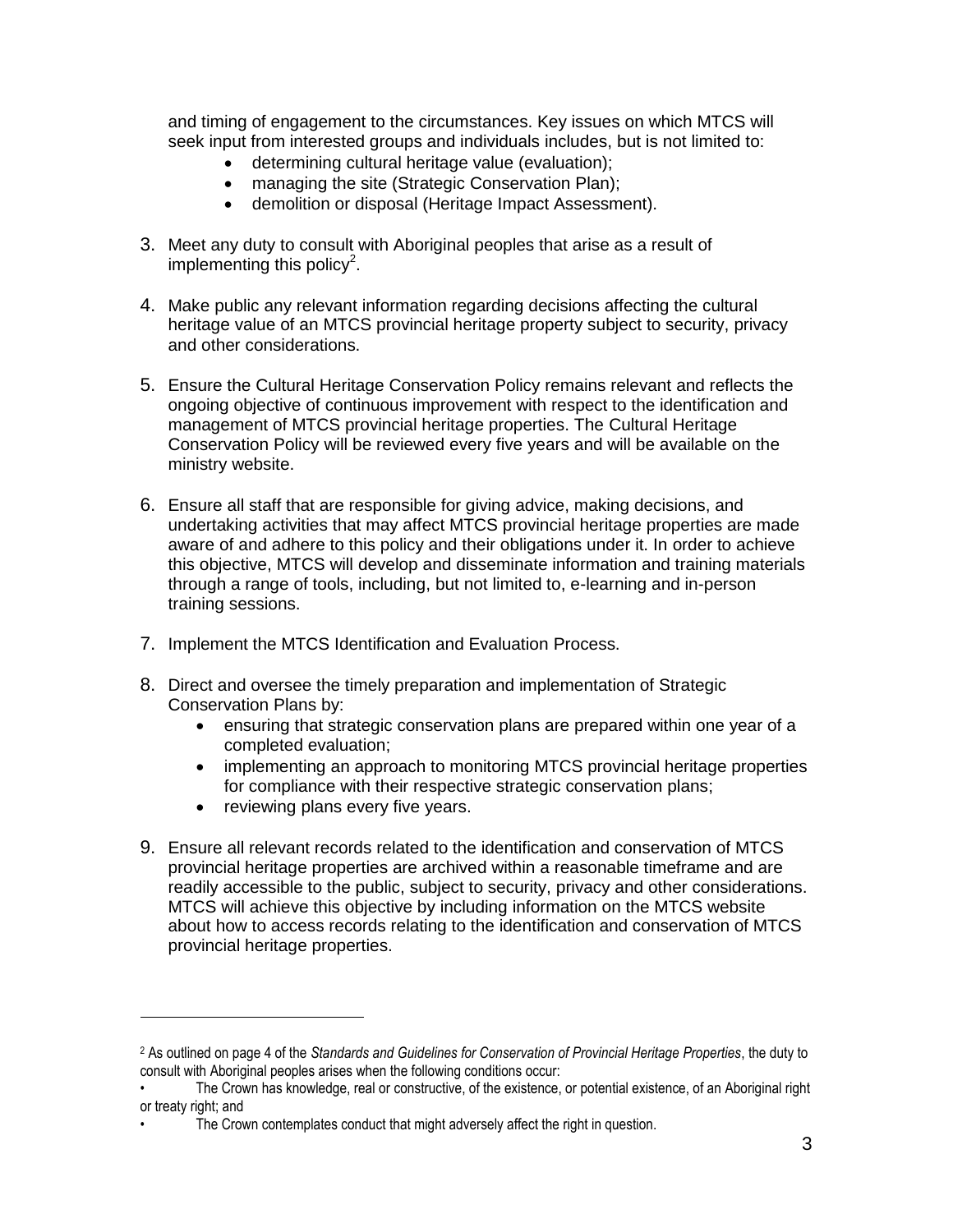and timing of engagement to the circumstances. Key issues on which MTCS will seek input from interested groups and individuals includes, but is not limited to:

- determining cultural heritage value (evaluation);
- managing the site (Strategic Conservation Plan);
- demolition or disposal (Heritage Impact Assessment).
- 3. Meet any duty to consult with Aboriginal peoples that arise as a result of implementing this policy<sup>2</sup>.
- 4. Make public any relevant information regarding decisions affecting the cultural heritage value of an MTCS provincial heritage property subject to security, privacy and other considerations.
- 5. Ensure the Cultural Heritage Conservation Policy remains relevant and reflects the ongoing objective of continuous improvement with respect to the identification and management of MTCS provincial heritage properties. The Cultural Heritage Conservation Policy will be reviewed every five years and will be available on the ministry website.
- 6. Ensure all staff that are responsible for giving advice, making decisions, and undertaking activities that may affect MTCS provincial heritage properties are made aware of and adhere to this policy and their obligations under it. In order to achieve this objective, MTCS will develop and disseminate information and training materials through a range of tools, including, but not limited to, e-learning and in-person training sessions.
- 7. Implement the MTCS Identification and Evaluation Process.
- 8. Direct and oversee the timely preparation and implementation of Strategic Conservation Plans by:
	- ensuring that strategic conservation plans are prepared within one year of a completed evaluation;
	- implementing an approach to monitoring MTCS provincial heritage properties for compliance with their respective strategic conservation plans;
	- reviewing plans every five years.

 $\overline{a}$ 

9. Ensure all relevant records related to the identification and conservation of MTCS provincial heritage properties are archived within a reasonable timeframe and are readily accessible to the public, subject to security, privacy and other considerations. MTCS will achieve this objective by including information on the MTCS website about how to access records relating to the identification and conservation of MTCS provincial heritage properties.

<sup>2</sup> As outlined on page 4 of the *Standards and Guidelines for Conservation of Provincial Heritage Properties*, the duty to consult with Aboriginal peoples arises when the following conditions occur:

<sup>•</sup> The Crown has knowledge, real or constructive, of the existence, or potential existence, of an Aboriginal right or treaty right; and

The Crown contemplates conduct that might adversely affect the right in question.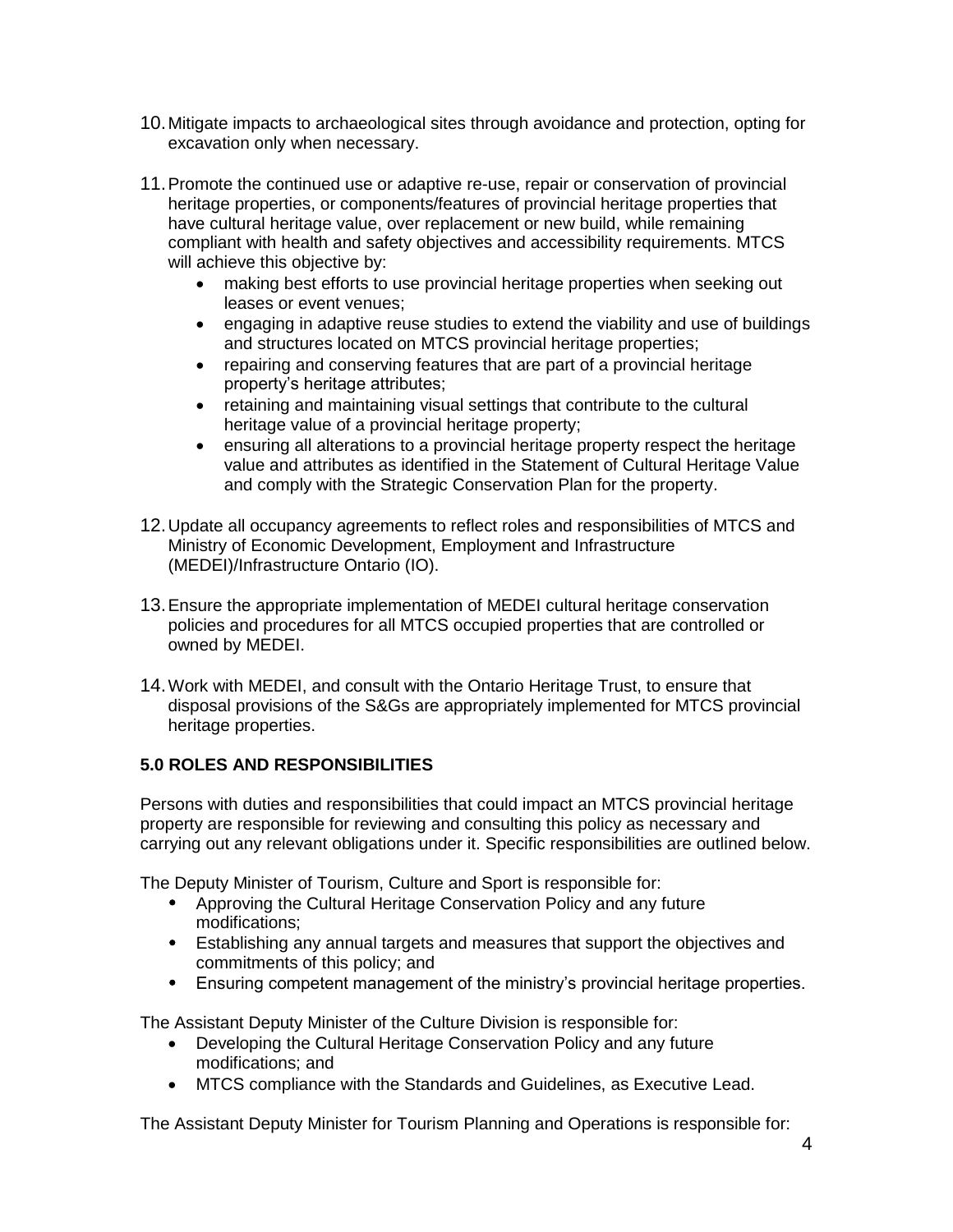- 10.Mitigate impacts to archaeological sites through avoidance and protection, opting for excavation only when necessary.
- 11.Promote the continued use or adaptive re-use, repair or conservation of provincial heritage properties, or components/features of provincial heritage properties that have cultural heritage value, over replacement or new build, while remaining compliant with health and safety objectives and accessibility requirements. MTCS will achieve this objective by:
	- making best efforts to use provincial heritage properties when seeking out leases or event venues;
	- engaging in adaptive reuse studies to extend the viability and use of buildings and structures located on MTCS provincial heritage properties;
	- repairing and conserving features that are part of a provincial heritage property's heritage attributes;
	- retaining and maintaining visual settings that contribute to the cultural heritage value of a provincial heritage property;
	- ensuring all alterations to a provincial heritage property respect the heritage value and attributes as identified in the Statement of Cultural Heritage Value and comply with the Strategic Conservation Plan for the property.
- 12.Update all occupancy agreements to reflect roles and responsibilities of MTCS and Ministry of Economic Development, Employment and Infrastructure (MEDEI)/Infrastructure Ontario (IO).
- 13.Ensure the appropriate implementation of MEDEI cultural heritage conservation policies and procedures for all MTCS occupied properties that are controlled or owned by MEDEI.
- 14.Work with MEDEI, and consult with the Ontario Heritage Trust, to ensure that disposal provisions of the S&Gs are appropriately implemented for MTCS provincial heritage properties.

## **5.0 ROLES AND RESPONSIBILITIES**

Persons with duties and responsibilities that could impact an MTCS provincial heritage property are responsible for reviewing and consulting this policy as necessary and carrying out any relevant obligations under it. Specific responsibilities are outlined below.

The Deputy Minister of Tourism, Culture and Sport is responsible for:

- Approving the Cultural Heritage Conservation Policy and any future modifications;
- Establishing any annual targets and measures that support the objectives and commitments of this policy; and
- Ensuring competent management of the ministry's provincial heritage properties.

The Assistant Deputy Minister of the Culture Division is responsible for:

- Developing the Cultural Heritage Conservation Policy and any future modifications; and
- MTCS compliance with the Standards and Guidelines, as Executive Lead.

The Assistant Deputy Minister for Tourism Planning and Operations is responsible for: